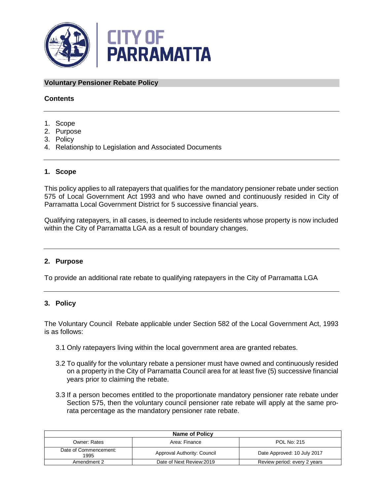

## **Voluntary Pensioner Rebate Policy**

## **Contents**

- 1. Scope
- 2. Purpose
- 3. Policy
- 4. Relationship to Legislation and Associated Documents

## **1. Scope**

This policy applies to all ratepayers that qualifies for the mandatory pensioner rebate under section 575 of Local Government Act 1993 and who have owned and continuously resided in City of Parramatta Local Government District for 5 successive financial years.

Qualifying ratepayers, in all cases, is deemed to include residents whose property is now included within the City of Parramatta LGA as a result of boundary changes.

#### **2. Purpose**

To provide an additional rate rebate to qualifying ratepayers in the City of Parramatta LGA

## **3. Policy**

The Voluntary Council Rebate applicable under Section 582 of the Local Government Act, 1993 is as follows:

- 3.1 Only ratepayers living within the local government area are granted rebates.
- 3.2 To qualify for the voluntary rebate a pensioner must have owned and continuously resided on a property in the City of Parramatta Council area for at least five (5) successive financial years prior to claiming the rebate.
- 3.3 If a person becomes entitled to the proportionate mandatory pensioner rate rebate under Section 575, then the voluntary council pensioner rate rebate will apply at the same prorata percentage as the mandatory pensioner rate rebate.

| <b>Name of Policy</b>         |                             |                              |  |
|-------------------------------|-----------------------------|------------------------------|--|
| Owner: Rates                  | Area: Finance               | <b>POL No: 215</b>           |  |
| Date of Commencement:<br>1995 | Approval Authority: Council | Date Approved: 10 July 2017  |  |
| Amendment 2                   | Date of Next Review: 2019   | Review period: every 2 years |  |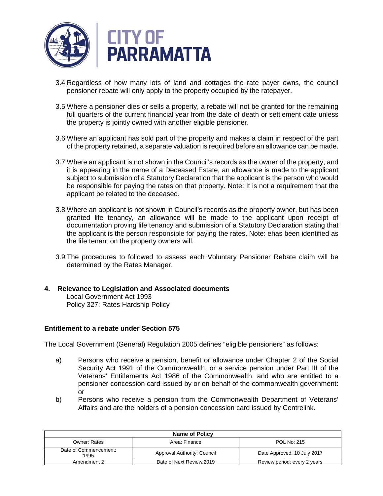

- 3.4 Regardless of how many lots of land and cottages the rate payer owns, the council pensioner rebate will only apply to the property occupied by the ratepayer.
- 3.5 Where a pensioner dies or sells a property, a rebate will not be granted for the remaining full quarters of the current financial year from the date of death or settlement date unless the property is jointly owned with another eligible pensioner.
- 3.6 Where an applicant has sold part of the property and makes a claim in respect of the part of the property retained, a separate valuation is required before an allowance can be made.
- 3.7 Where an applicant is not shown in the Council's records as the owner of the property, and it is appearing in the name of a Deceased Estate, an allowance is made to the applicant subject to submission of a Statutory Declaration that the applicant is the person who would be responsible for paying the rates on that property. Note: It is not a requirement that the applicant be related to the deceased.
- 3.8 Where an applicant is not shown in Council's records as the property owner, but has been granted life tenancy, an allowance will be made to the applicant upon receipt of documentation proving life tenancy and submission of a Statutory Declaration stating that the applicant is the person responsible for paying the rates. Note: ehas been identified as the life tenant on the property owners will.
- 3.9 The procedures to followed to assess each Voluntary Pensioner Rebate claim will be determined by the Rates Manager.

## **4. Relevance to Legislation and Associated documents**

Local Government Act 1993 Policy 327: Rates Hardship Policy

## **Entitlement to a rebate under Section 575**

The Local Government (General) Regulation 2005 defines "eligible pensioners" as follows:

- a) Persons who receive a pension, benefit or allowance under Chapter 2 of the Social Security Act 1991 of the Commonwealth, or a service pension under Part III of the Veterans' Entitlements Act 1986 of the Commonwealth, and who are entitled to a pensioner concession card issued by or on behalf of the commonwealth government: or
- b) Persons who receive a pension from the Commonwealth Department of Veterans' Affairs and are the holders of a pension concession card issued by Centrelink.

| <b>Name of Policy</b>         |                             |                              |  |
|-------------------------------|-----------------------------|------------------------------|--|
| Owner: Rates                  | Area: Finance               | <b>POL No: 215</b>           |  |
| Date of Commencement:<br>1995 | Approval Authority: Council | Date Approved: 10 July 2017  |  |
| Amendment 2                   | Date of Next Review: 2019   | Review period: every 2 years |  |